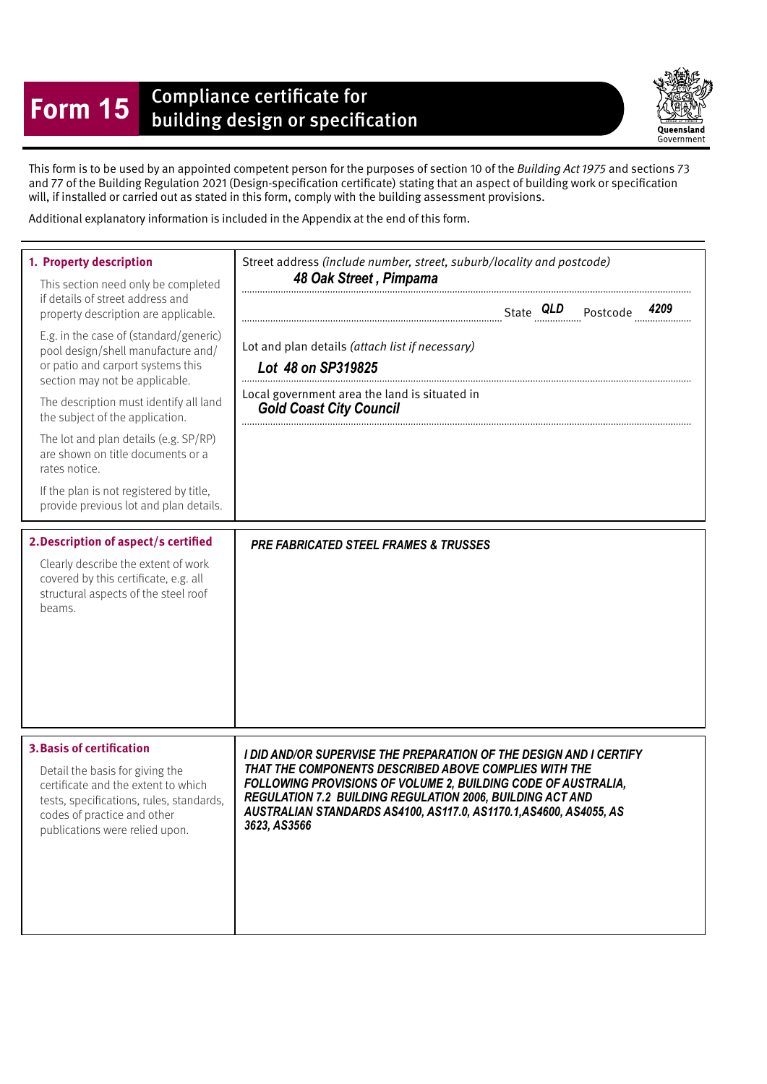## **Form 15** Compliance certificate for<br>building design or specification



This form is to be used by an appointed competent person for the purposes of section 10 of the Building Act 1975 and sections 73 and 77 of the Building Regulation 2021 (Design-specifcation certifcate) stating that an aspect of building work or specifcation will, if installed or carried out as stated in this form, comply with the building assessment provisions.

Additional explanatory information is included in the Appendix at the end of this form.

| 1. Property description<br>This section need only be completed<br>if details of street address and<br>property description are applicable.<br>E.g. in the case of (standard/generic)<br>pool design/shell manufacture and/<br>or patio and carport systems this<br>section may not be applicable.<br>The description must identify all land<br>the subject of the application.<br>The lot and plan details (e.g. SP/RP)<br>are shown on title documents or a<br>rates notice.<br>If the plan is not registered by title,<br>provide previous lot and plan details.<br>2. Description of aspect/s certified<br>Clearly describe the extent of work<br>covered by this certificate, e.g. all<br>structural aspects of the steel roof<br>beams. | Street address (include number, street, suburb/locality and postcode)<br>48 Oak Street, Pimpama<br>Lot and plan details (attach list if necessary)<br>Lot 48 on SP319825<br>Local government area the land is situated in<br><b>Gold Coast City Council</b><br><b>PRE FABRICATED STEEL FRAMES &amp; TRUSSES</b> |
|----------------------------------------------------------------------------------------------------------------------------------------------------------------------------------------------------------------------------------------------------------------------------------------------------------------------------------------------------------------------------------------------------------------------------------------------------------------------------------------------------------------------------------------------------------------------------------------------------------------------------------------------------------------------------------------------------------------------------------------------|-----------------------------------------------------------------------------------------------------------------------------------------------------------------------------------------------------------------------------------------------------------------------------------------------------------------|
| <b>3. Basis of certification</b>                                                                                                                                                                                                                                                                                                                                                                                                                                                                                                                                                                                                                                                                                                             | I DID AND/OR SUPERVISE THE PREPARATION OF THE DESIGN AND I CERTIFY                                                                                                                                                                                                                                              |
| Detail the basis for giving the                                                                                                                                                                                                                                                                                                                                                                                                                                                                                                                                                                                                                                                                                                              | THAT THE COMPONENTS DESCRIBED ABOVE COMPLIES WITH THE                                                                                                                                                                                                                                                           |
| certificate and the extent to which                                                                                                                                                                                                                                                                                                                                                                                                                                                                                                                                                                                                                                                                                                          | FOLLOWING PROVISIONS OF VOLUME 2, BUILDING CODE OF AUSTRALIA,                                                                                                                                                                                                                                                   |
| tests, specifications, rules, standards,                                                                                                                                                                                                                                                                                                                                                                                                                                                                                                                                                                                                                                                                                                     | REGULATION 7.2 BUILDING REGULATION 2006, BUILDING ACT AND                                                                                                                                                                                                                                                       |
| codes of practice and other                                                                                                                                                                                                                                                                                                                                                                                                                                                                                                                                                                                                                                                                                                                  | AUSTRALIAN STANDARDS AS4100, AS117.0, AS1170.1, AS4600, AS4055, AS                                                                                                                                                                                                                                              |
| publications were relied upon.                                                                                                                                                                                                                                                                                                                                                                                                                                                                                                                                                                                                                                                                                                               | 3623, AS3566                                                                                                                                                                                                                                                                                                    |